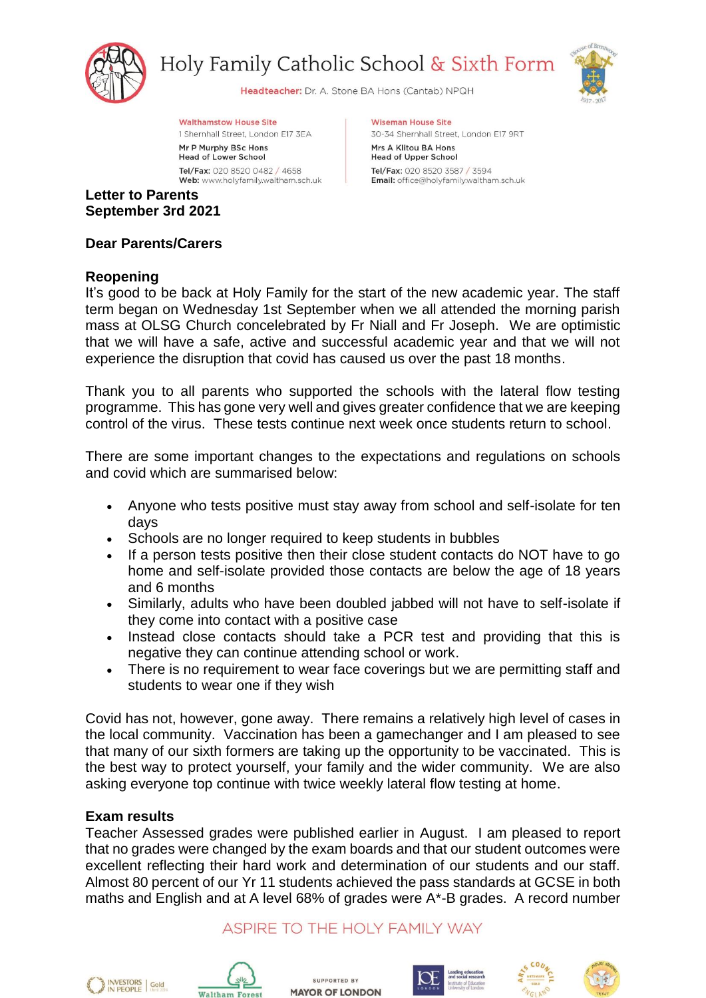

Holy Family Catholic School & Sixth Form



Headteacher: Dr. A. Stone BA Hons (Cantab) NPQH

**Wiseman House Site** 

Mrs A Klitou BA Hons

**Head of Upper School** 

Tel/Fax: 020 8520 3587 / 3594

30-34 Shernhall Street, London E17 9RT

Email: office@holyfamily.waltham.sch.uk

**Walthamstow House Site** 

1 Shernhall Street, London E17 3EA Mr P Murphy BSc Hons

**Head of Lower School** Tel/Fax: 020 8520 0482 / 4658 Web: www.holyfamily.waltham.sch.uk

**Letter to Parents September 3rd 2021**

**Dear Parents/Carers**

# **Reopening**

It's good to be back at Holy Family for the start of the new academic year. The staff term began on Wednesday 1st September when we all attended the morning parish mass at OLSG Church concelebrated by Fr Niall and Fr Joseph. We are optimistic that we will have a safe, active and successful academic year and that we will not experience the disruption that covid has caused us over the past 18 months.

Thank you to all parents who supported the schools with the lateral flow testing programme. This has gone very well and gives greater confidence that we are keeping control of the virus. These tests continue next week once students return to school.

There are some important changes to the expectations and regulations on schools and covid which are summarised below:

- Anyone who tests positive must stay away from school and self-isolate for ten days
- Schools are no longer required to keep students in bubbles
- If a person tests positive then their close student contacts do NOT have to go home and self-isolate provided those contacts are below the age of 18 years and 6 months
- Similarly, adults who have been doubled jabbed will not have to self-isolate if they come into contact with a positive case
- Instead close contacts should take a PCR test and providing that this is negative they can continue attending school or work.
- There is no requirement to wear face coverings but we are permitting staff and students to wear one if they wish

Covid has not, however, gone away. There remains a relatively high level of cases in the local community. Vaccination has been a gamechanger and I am pleased to see that many of our sixth formers are taking up the opportunity to be vaccinated. This is the best way to protect yourself, your family and the wider community. We are also asking everyone top continue with twice weekly lateral flow testing at home.

# **Exam results**

Teacher Assessed grades were published earlier in August. I am pleased to report that no grades were changed by the exam boards and that our student outcomes were excellent reflecting their hard work and determination of our students and our staff. Almost 80 percent of our Yr 11 students achieved the pass standards at GCSE in both maths and English and at A level 68% of grades were A\*-B grades. A record number

ASPIRE TO THE HOLY FAMILY WAY





SUPPORTED BY **MAYOR OF LONDON** 





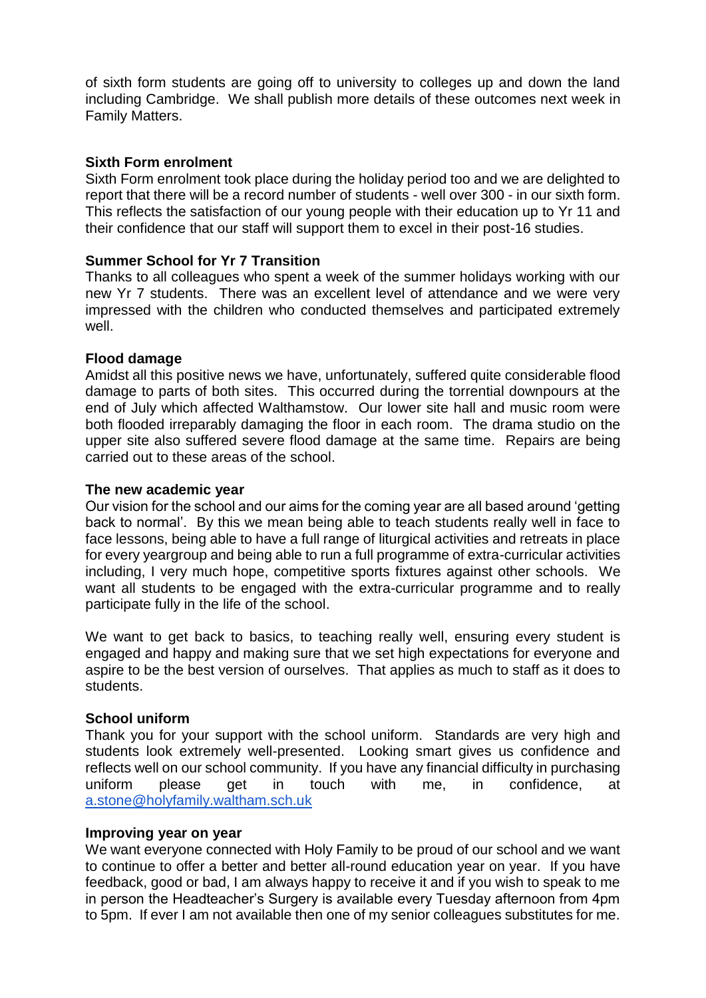of sixth form students are going off to university to colleges up and down the land including Cambridge. We shall publish more details of these outcomes next week in Family Matters.

## **Sixth Form enrolment**

Sixth Form enrolment took place during the holiday period too and we are delighted to report that there will be a record number of students - well over 300 - in our sixth form. This reflects the satisfaction of our young people with their education up to Yr 11 and their confidence that our staff will support them to excel in their post-16 studies.

## **Summer School for Yr 7 Transition**

Thanks to all colleagues who spent a week of the summer holidays working with our new Yr 7 students. There was an excellent level of attendance and we were very impressed with the children who conducted themselves and participated extremely well.

## **Flood damage**

Amidst all this positive news we have, unfortunately, suffered quite considerable flood damage to parts of both sites. This occurred during the torrential downpours at the end of July which affected Walthamstow. Our lower site hall and music room were both flooded irreparably damaging the floor in each room. The drama studio on the upper site also suffered severe flood damage at the same time. Repairs are being carried out to these areas of the school.

#### **The new academic year**

Our vision for the school and our aims for the coming year are all based around 'getting back to normal'. By this we mean being able to teach students really well in face to face lessons, being able to have a full range of liturgical activities and retreats in place for every yeargroup and being able to run a full programme of extra-curricular activities including, I very much hope, competitive sports fixtures against other schools. We want all students to be engaged with the extra-curricular programme and to really participate fully in the life of the school.

We want to get back to basics, to teaching really well, ensuring every student is engaged and happy and making sure that we set high expectations for everyone and aspire to be the best version of ourselves. That applies as much to staff as it does to students.

# **School uniform**

Thank you for your support with the school uniform. Standards are very high and students look extremely well-presented. Looking smart gives us confidence and reflects well on our school community. If you have any financial difficulty in purchasing uniform please get in touch with me, in confidence, at [a.stone@holyfamily.waltham.sch.uk](mailto:a.stone@holyfamily.waltham.sch.uk)

#### **Improving year on year**

We want everyone connected with Holy Family to be proud of our school and we want to continue to offer a better and better all-round education year on year. If you have feedback, good or bad, I am always happy to receive it and if you wish to speak to me in person the Headteacher's Surgery is available every Tuesday afternoon from 4pm to 5pm. If ever I am not available then one of my senior colleagues substitutes for me.